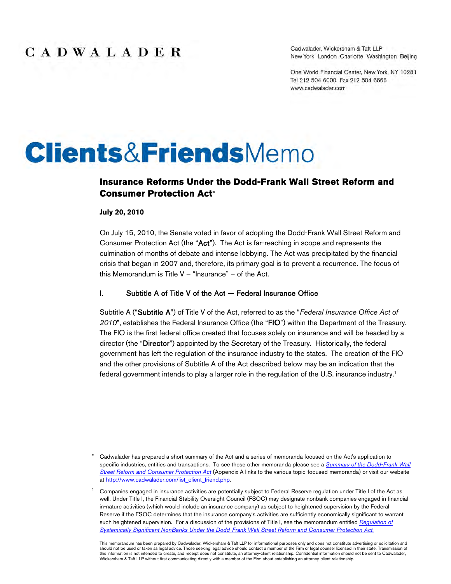Cadwalader, Wickersham & Taft LLP New York London Charlotte Washington Beijing

One World Financial Center, New York, NY 10281 Tel 212 504 6000 Fax 212 504 6666 www.cadwalader.com

# **Clients&FriendsMemo**

#### **Insurance Reforms Under the Dodd-Frank Wall Street Reform and Consumer Protection Act**

#### **July 20, 2010**

On July 15, 2010, the Senate voted in favor of adopting the Dodd-Frank Wall Street Reform and Consumer Protection Act (the "Act"). The Act is far-reaching in scope and represents the culmination of months of debate and intense lobbying. The Act was precipitated by the financial crisis that began in 2007 and, therefore, its primary goal is to prevent a recurrence. The focus of this Memorandum is Title  $V -$  "Insurance" – of the Act.

#### I. Subtitle A of Title V of the Act — Federal Insurance Office

Subtitle A ("Subtitle A") of Title V of the Act, referred to as the "*Federal Insurance Office Act of 2010*", establishes the Federal Insurance Office (the "FIO") within the Department of the Treasury. The FIO is the first federal office created that focuses solely on insurance and will be headed by a director (the "Director") appointed by the Secretary of the Treasury. Historically, the federal government has left the regulation of the insurance industry to the states. The creation of the FIO and the other provisions of Subtitle A of the Act described below may be an indication that the federal government intends to play a larger role in the regulation of the U.S. insurance industry.<sup>1</sup>

Cadwalader has prepared a short summary of the Act and a series of memoranda focused on the Act's application to specific industries, entities and transactions. To see these other memoranda please see a *Summary of the Dodd-Frank Wall Street Reform and Consumer Protection Act* (Appendix A links to the various topic-focused memoranda) or visit our website at http://www.cadwalader.com/list\_client\_friend.php.

<sup>1</sup> Companies engaged in insurance activities are potentially subject to Federal Reserve regulation under Title I of the Act as well. Under Title I, the Financial Stability Oversight Council (FSOC) may designate nonbank companies engaged in financialin-nature activities (which would include an insurance company) as subject to heightened supervision by the Federal Reserve if the FSOC determines that the insurance company's activities are sufficiently economically significant to warrant such heightened supervision. For a discussion of the provisions of Title I, see the memorandum entitled *Regulation of Systemically Significant NonBanks Under the Dodd-Frank Wall Street Reform and Consumer Protection Act.*

This memorandum has been prepared by Cadwalader, Wickersham & Taft LLP for informational purposes only and does not constitute advertising or solicitation and should not be used or taken as legal advice. Those seeking legal advice should contact a member of the Firm or legal counsel licensed in their state. Transmission of this information is not intended to create, and receipt does not constitute, an attorney-client relationship. Confidential information should not be sent to Cadwalader,<br>Wickersham & Taft LLP without first communicating dir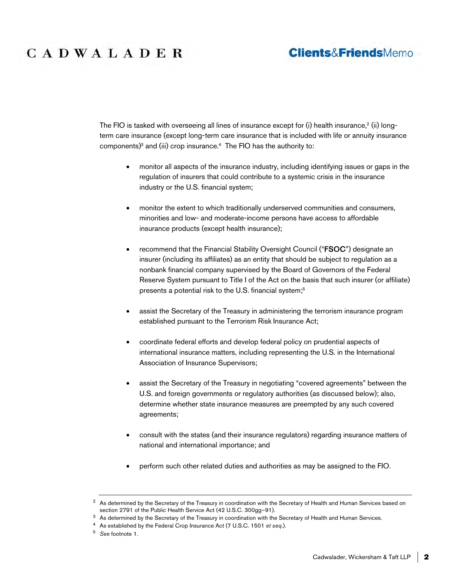## **Clients&FriendsMemo**

The FIO is tasked with overseeing all lines of insurance except for (i) health insurance, $^2$  (ii) longterm care insurance (except long-term care insurance that is included with life or annuity insurance components) $3$  and (iii) crop insurance.<sup>4</sup> The FIO has the authority to:

- monitor all aspects of the insurance industry, including identifying issues or gaps in the regulation of insurers that could contribute to a systemic crisis in the insurance industry or the U.S. financial system;
- monitor the extent to which traditionally underserved communities and consumers, minorities and low- and moderate-income persons have access to affordable insurance products (except health insurance);
- recommend that the Financial Stability Oversight Council ("FSOC") designate an insurer (including its affiliates) as an entity that should be subject to regulation as a nonbank financial company supervised by the Board of Governors of the Federal Reserve System pursuant to Title I of the Act on the basis that such insurer (or affiliate) presents a potential risk to the U.S. financial system;<sup>5</sup>
- assist the Secretary of the Treasury in administering the terrorism insurance program established pursuant to the Terrorism Risk Insurance Act;
- coordinate federal efforts and develop federal policy on prudential aspects of international insurance matters, including representing the U.S. in the International Association of Insurance Supervisors;
- assist the Secretary of the Treasury in negotiating "covered agreements" between the U.S. and foreign governments or regulatory authorities (as discussed below); also, determine whether state insurance measures are preempted by any such covered agreements;
- consult with the states (and their insurance regulators) regarding insurance matters of national and international importance; and
- perform such other related duties and authorities as may be assigned to the FIO.

<sup>&</sup>lt;sup>2</sup> As determined by the Secretary of the Treasury in coordination with the Secretary of Health and Human Services based on section 2791 of the Public Health Service Act (42 U.S.C. 300gg–91).

<sup>&</sup>lt;sup>3</sup> As determined by the Secretary of the Treasury in coordination with the Secretary of Health and Human Services.

<sup>4</sup> As established by the Federal Crop Insurance Act (7 U.S.C. 1501 *et seq*.).

<sup>5</sup> *See* footnote 1.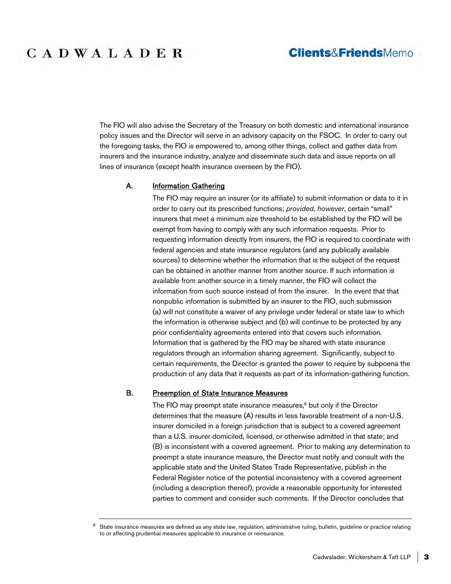### **Clients&FriendsMemo**

The FIO will also advise the Secretary of the Treasury on both domestic and international insurance policy issues and the Director will serve in an advisory capacity on the FSOC. In order to carry out the foregoing tasks, the FIO is empowered to, among other things, collect and gather data from insurers and the insurance industry, analyze and disseminate such data and issue reports on all lines of insurance (except health insurance overseen by the FIO).

#### A. **Information Gathering**

The FIO may require an insurer (or its affiliate) to submit information or data to it in order to carry out its prescribed functions; *provided*, *however*, certain "small" insurers that meet a minimum size threshold to be established by the FIO will be exempt from having to comply with any such information requests. Prior to requesting information directly from insurers, the FIO is required to coordinate with federal agencies and state insurance regulators (and any publically available sources) to determine whether the information that is the subject of the request can be obtained in another manner from another source. If such information is available from another source in a timely manner, the FIO will collect the information from such source instead of from the insurer. In the event that that nonpublic information is submitted by an insurer to the FIO, such submission (a) will not constitute a waiver of any privilege under federal or state law to which the information is otherwise subject and (b) will continue to be protected by any prior confidentiality agreements entered into that covers such information. Information that is gathered by the FIO may be shared with state insurance regulators through an information sharing agreement. Significantly, subject to certain requirements, the Director is granted the power to require by subpoena the production of any data that it requests as part of its information-gathering function.

#### B. Preemption of State Insurance Measures

The FIO may preempt state insurance measures,<sup>6</sup> but only if the Director determines that the measure (A) results in less favorable treatment of a non-U.S. insurer domiciled in a foreign jurisdiction that is subject to a covered agreement than a U.S. insurer domiciled, licensed, or otherwise admitted in that state; and (B) is inconsistent with a covered agreement. Prior to making any determination to preempt a state insurance measure, the Director must notify and consult with the applicable state and the United States Trade Representative, publish in the Federal Register notice of the potential inconsistency with a covered agreement (including a description thereof), provide a reasonable opportunity for interested parties to comment and consider such comments. If the Director concludes that

<sup>6</sup> State insurance measures are defined as any state law, regulation, administrative ruling, bulletin, guideline or practice relating to or affecting prudential measures applicable to insurance or reinsurance.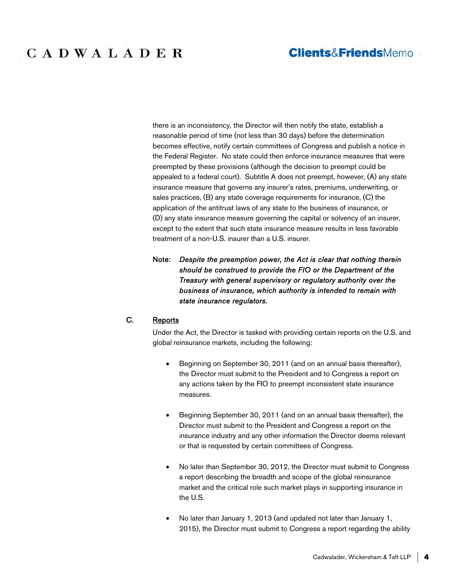### **Clients&FriendsMemo**

# CADWALADER

there is an inconsistency, the Director will then notify the state, establish a reasonable period of time (not less than 30 days) before the determination becomes effective, notify certain committees of Congress and publish a notice in the Federal Register. No state could then enforce insurance measures that were preempted by these provisions (although the decision to preempt could be appealed to a federal court). Subtitle A does not preempt, however, (A) any state insurance measure that governs any insurer's rates, premiums, underwriting, or sales practices, (B) any state coverage requirements for insurance, (C) the application of the antitrust laws of any state to the business of insurance, or (D) any state insurance measure governing the capital or solvency of an insurer, except to the extent that such state insurance measure results in less favorable treatment of a non-U.S. insurer than a U.S. insurer.

#### Note: *Despite the preemption power, the Act is clear that nothing therein should be construed to provide the FIO or the Department of the Treasury with general supervisory or regulatory authority over the business of insurance, which authority is intended to remain with state insurance regulators.*

#### C. Reports

Under the Act, the Director is tasked with providing certain reports on the U.S. and global reinsurance markets, including the following:

- Beginning on September 30, 2011 (and on an annual basis thereafter), the Director must submit to the President and to Congress a report on any actions taken by the FIO to preempt inconsistent state insurance measures.
- Beginning September 30, 2011 (and on an annual basis thereafter), the Director must submit to the President and Congress a report on the insurance industry and any other information the Director deems relevant or that is requested by certain committees of Congress.
- No later than September 30, 2012, the Director must submit to Congress a report describing the breadth and scope of the global reinsurance market and the critical role such market plays in supporting insurance in the U.S.
- No later than January 1, 2013 (and updated not later than January 1, 2015), the Director must submit to Congress a report regarding the ability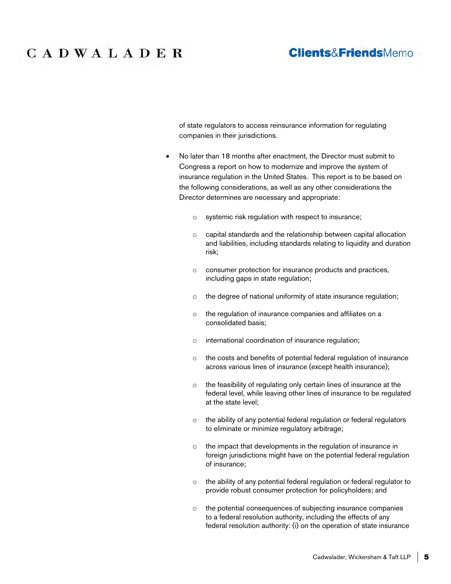### **Clients&FriendsMemo**

of state regulators to access reinsurance information for regulating companies in their jurisdictions.

- No later than 18 months after enactment, the Director must submit to Congress a report on how to modernize and improve the system of insurance regulation in the United States. This report is to be based on the following considerations, as well as any other considerations the Director determines are necessary and appropriate:
	- o systemic risk regulation with respect to insurance;
	- o capital standards and the relationship between capital allocation and liabilities, including standards relating to liquidity and duration risk;
	- o consumer protection for insurance products and practices, including gaps in state regulation;
	- o the degree of national uniformity of state insurance regulation;
	- o the regulation of insurance companies and affiliates on a consolidated basis;
	- o international coordination of insurance regulation;
	- o the costs and benefits of potential federal regulation of insurance across various lines of insurance (except health insurance);
	- o the feasibility of regulating only certain lines of insurance at the federal level, while leaving other lines of insurance to be regulated at the state level;
	- o the ability of any potential federal regulation or federal regulators to eliminate or minimize regulatory arbitrage;
	- o the impact that developments in the regulation of insurance in foreign jurisdictions might have on the potential federal regulation of insurance;
	- o the ability of any potential federal regulation or federal regulator to provide robust consumer protection for policyholders; and
	- o the potential consequences of subjecting insurance companies to a federal resolution authority, including the effects of any federal resolution authority: (i) on the operation of state insurance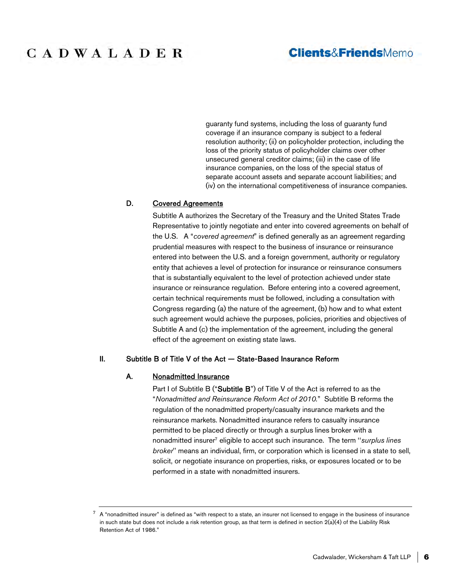### **Clients&FriendsMemo**

guaranty fund systems, including the loss of guaranty fund coverage if an insurance company is subject to a federal resolution authority; (ii) on policyholder protection, including the loss of the priority status of policyholder claims over other unsecured general creditor claims; (iii) in the case of life insurance companies, on the loss of the special status of separate account assets and separate account liabilities; and (iv) on the international competitiveness of insurance companies.

#### D. Covered Agreements

Subtitle A authorizes the Secretary of the Treasury and the United States Trade Representative to jointly negotiate and enter into covered agreements on behalf of the U.S. A "*covered agreement*" is defined generally as an agreement regarding prudential measures with respect to the business of insurance or reinsurance entered into between the U.S. and a foreign government, authority or regulatory entity that achieves a level of protection for insurance or reinsurance consumers that is substantially equivalent to the level of protection achieved under state insurance or reinsurance regulation. Before entering into a covered agreement, certain technical requirements must be followed, including a consultation with Congress regarding (a) the nature of the agreement, (b) how and to what extent such agreement would achieve the purposes, policies, priorities and objectives of Subtitle A and (c) the implementation of the agreement, including the general effect of the agreement on existing state laws.

#### II. Subtitle B of Title V of the Act — State-Based Insurance Reform

#### A. Nonadmitted Insurance

Part I of Subtitle B ("Subtitle B") of Title V of the Act is referred to as the "*Nonadmitted and Reinsurance Reform Act of 2010.*" Subtitle B reforms the regulation of the nonadmitted property/casualty insurance markets and the reinsurance markets. Nonadmitted insurance refers to casualty insurance permitted to be placed directly or through a surplus lines broker with a nonadmitted insurer<sup>7</sup> eligible to accept such insurance. The term ''*surplus lines broker*'' means an individual, firm, or corporation which is licensed in a state to sell, solicit, or negotiate insurance on properties, risks, or exposures located or to be performed in a state with nonadmitted insurers.

<sup>7</sup> A "nonadmitted insurer" is defined as "with respect to a state, an insurer not licensed to engage in the business of insurance in such state but does not include a risk retention group, as that term is defined in section 2(a)(4) of the Liability Risk Retention Act of 1986."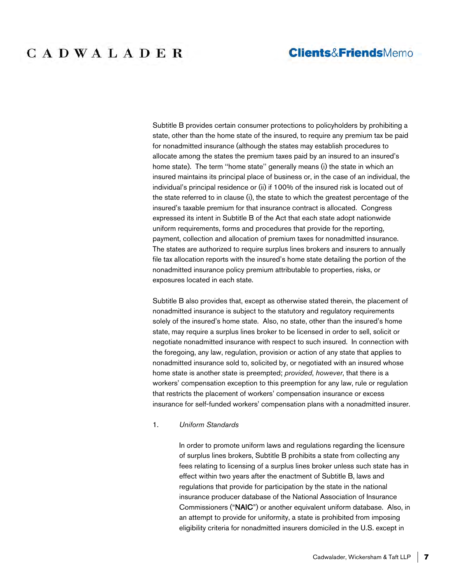### **Clients&FriendsMemo**

# CADWALADER

Subtitle B provides certain consumer protections to policyholders by prohibiting a state, other than the home state of the insured, to require any premium tax be paid for nonadmitted insurance (although the states may establish procedures to allocate among the states the premium taxes paid by an insured to an insured's home state). The term ''home state'' generally means (i) the state in which an insured maintains its principal place of business or, in the case of an individual, the individual's principal residence or (ii) if 100% of the insured risk is located out of the state referred to in clause (i), the state to which the greatest percentage of the insured's taxable premium for that insurance contract is allocated. Congress expressed its intent in Subtitle B of the Act that each state adopt nationwide uniform requirements, forms and procedures that provide for the reporting, payment, collection and allocation of premium taxes for nonadmitted insurance. The states are authorized to require surplus lines brokers and insurers to annually file tax allocation reports with the insured's home state detailing the portion of the nonadmitted insurance policy premium attributable to properties, risks, or exposures located in each state.

Subtitle B also provides that, except as otherwise stated therein, the placement of nonadmitted insurance is subject to the statutory and regulatory requirements solely of the insured's home state. Also, no state, other than the insured's home state, may require a surplus lines broker to be licensed in order to sell, solicit or negotiate nonadmitted insurance with respect to such insured. In connection with the foregoing, any law, regulation, provision or action of any state that applies to nonadmitted insurance sold to, solicited by, or negotiated with an insured whose home state is another state is preempted; *provided*, *however*, that there is a workers' compensation exception to this preemption for any law, rule or regulation that restricts the placement of workers' compensation insurance or excess insurance for self-funded workers' compensation plans with a nonadmitted insurer.

#### 1. *Uniform Standards*

In order to promote uniform laws and regulations regarding the licensure of surplus lines brokers, Subtitle B prohibits a state from collecting any fees relating to licensing of a surplus lines broker unless such state has in effect within two years after the enactment of Subtitle B, laws and regulations that provide for participation by the state in the national insurance producer database of the National Association of Insurance Commissioners ("NAIC") or another equivalent uniform database. Also, in an attempt to provide for uniformity, a state is prohibited from imposing eligibility criteria for nonadmitted insurers domiciled in the U.S. except in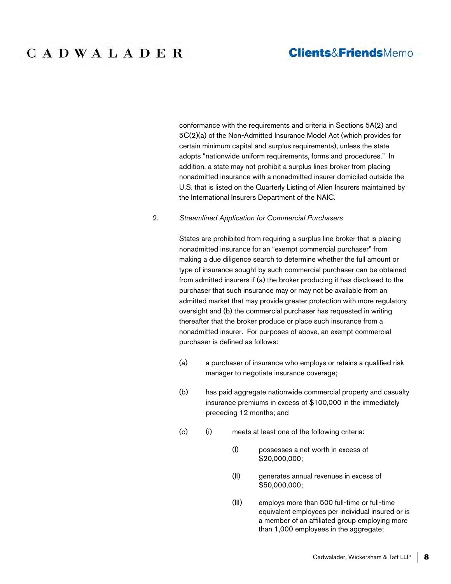### **Clients&FriendsMemo**

conformance with the requirements and criteria in Sections 5A(2) and 5C(2)(a) of the Non-Admitted Insurance Model Act (which provides for certain minimum capital and surplus requirements), unless the state adopts "nationwide uniform requirements, forms and procedures." In addition, a state may not prohibit a surplus lines broker from placing nonadmitted insurance with a nonadmitted insurer domiciled outside the U.S. that is listed on the Quarterly Listing of Alien Insurers maintained by the International Insurers Department of the NAIC.

#### 2. *Streamlined Application for Commercial Purchasers*

States are prohibited from requiring a surplus line broker that is placing nonadmitted insurance for an "exempt commercial purchaser" from making a due diligence search to determine whether the full amount or type of insurance sought by such commercial purchaser can be obtained from admitted insurers if (a) the broker producing it has disclosed to the purchaser that such insurance may or may not be available from an admitted market that may provide greater protection with more regulatory oversight and (b) the commercial purchaser has requested in writing thereafter that the broker produce or place such insurance from a nonadmitted insurer. For purposes of above, an exempt commercial purchaser is defined as follows:

- (a) a purchaser of insurance who employs or retains a qualified risk manager to negotiate insurance coverage;
- (b) has paid aggregate nationwide commercial property and casualty insurance premiums in excess of \$100,000 in the immediately preceding 12 months; and
- (c) (i) meets at least one of the following criteria:
	- (I) possesses a net worth in excess of \$20,000,000;
	- (II) generates annual revenues in excess of \$50,000,000;
	- (III) employs more than 500 full-time or full-time equivalent employees per individual insured or is a member of an affiliated group employing more than 1,000 employees in the aggregate;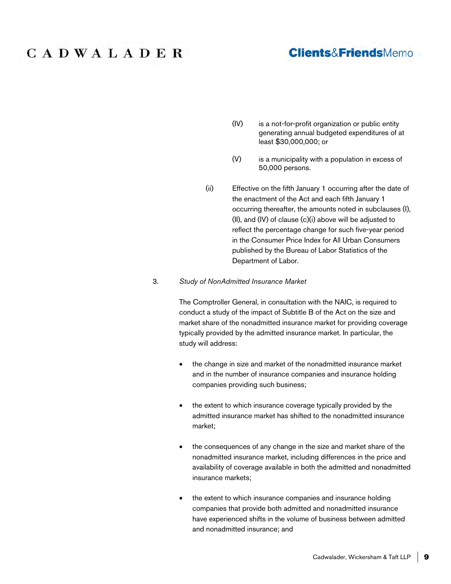### **Clients&FriendsMemo**

- (IV) is a not-for-profit organization or public entity generating annual budgeted expenditures of at least \$30,000,000; or
- (V) is a municipality with a population in excess of 50,000 persons.
- (ii) Effective on the fifth January 1 occurring after the date of the enactment of the Act and each fifth January 1 occurring thereafter, the amounts noted in subclauses (I), (II), and (IV) of clause (c)(i) above will be adjusted to reflect the percentage change for such five-year period in the Consumer Price Index for All Urban Consumers published by the Bureau of Labor Statistics of the Department of Labor.

#### 3. *Study of NonAdmitted Insurance Market*

The Comptroller General, in consultation with the NAIC, is required to conduct a study of the impact of Subtitle B of the Act on the size and market share of the nonadmitted insurance market for providing coverage typically provided by the admitted insurance market. In particular, the study will address:

- the change in size and market of the nonadmitted insurance market and in the number of insurance companies and insurance holding companies providing such business;
- the extent to which insurance coverage typically provided by the admitted insurance market has shifted to the nonadmitted insurance market;
- the consequences of any change in the size and market share of the nonadmitted insurance market, including differences in the price and availability of coverage available in both the admitted and nonadmitted insurance markets;
- the extent to which insurance companies and insurance holding companies that provide both admitted and nonadmitted insurance have experienced shifts in the volume of business between admitted and nonadmitted insurance; and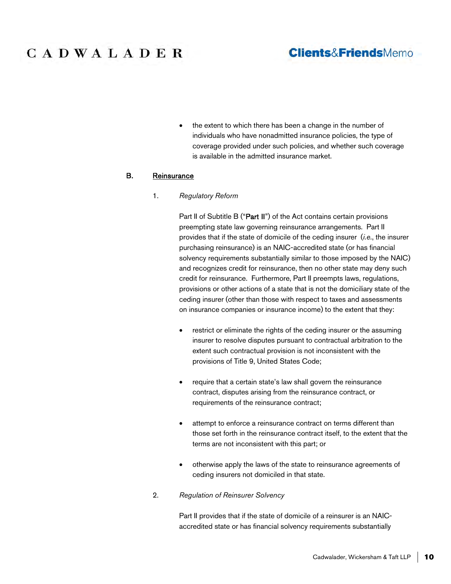### **Clients&FriendsMemo**

• the extent to which there has been a change in the number of individuals who have nonadmitted insurance policies, the type of coverage provided under such policies, and whether such coverage is available in the admitted insurance market.

#### B. Reinsurance

1. *Regulatory Reform*

Part II of Subtitle B ("Part II") of the Act contains certain provisions preempting state law governing reinsurance arrangements. Part II provides that if the state of domicile of the ceding insurer (*i.e.*, the insurer purchasing reinsurance) is an NAIC-accredited state (or has financial solvency requirements substantially similar to those imposed by the NAIC) and recognizes credit for reinsurance, then no other state may deny such credit for reinsurance. Furthermore, Part II preempts laws, regulations, provisions or other actions of a state that is not the domiciliary state of the ceding insurer (other than those with respect to taxes and assessments on insurance companies or insurance income) to the extent that they:

- restrict or eliminate the rights of the ceding insurer or the assuming insurer to resolve disputes pursuant to contractual arbitration to the extent such contractual provision is not inconsistent with the provisions of Title 9, United States Code;
- require that a certain state's law shall govern the reinsurance contract, disputes arising from the reinsurance contract, or requirements of the reinsurance contract;
- attempt to enforce a reinsurance contract on terms different than those set forth in the reinsurance contract itself, to the extent that the terms are not inconsistent with this part; or
- otherwise apply the laws of the state to reinsurance agreements of ceding insurers not domiciled in that state.
- 2. *Regulation of Reinsurer Solvency*

Part II provides that if the state of domicile of a reinsurer is an NAICaccredited state or has financial solvency requirements substantially